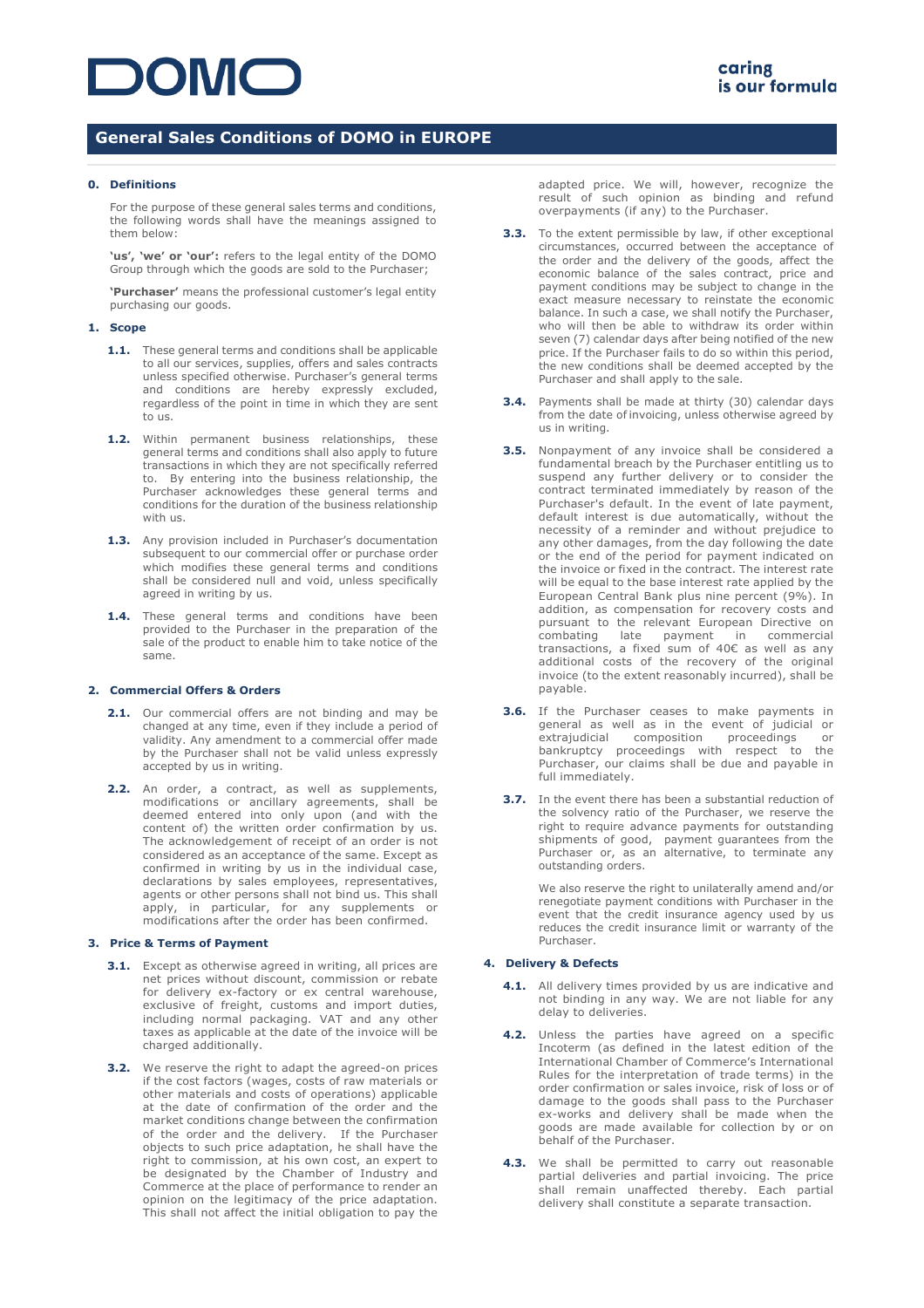# **DOMC**

## **General Sales Conditions of DOMO in EUROPE**

### **0. Definitions**

For the purpose of these general sales terms and conditions, the following words shall have the meanings assigned to them below:

**'us', 'we' or 'our':** refers to the legal entity of the DOMO Group through which the goods are sold to the Purchaser;

**'Purchaser'** means the professional customer's legal entity purchasing our goods.

#### **1. Scope**

- **1.1.** These general terms and conditions shall be applicable to all our services, supplies, offers and sales contracts unless specified otherwise. Purchaser's general terms and conditions are hereby expressly excluded, regardless of the point in time in which they are sent to us.
- **1.2.** Within permanent business relationships, these general terms and conditions shall also apply to future transactions in which they are not specifically referred to. By entering into the business relationship, the Purchaser acknowledges these general terms and conditions for the duration of the business relationship with us.
- **1.3.** Any provision included in Purchaser's documentation subsequent to our commercial offer or purchase order which modifies these general terms and conditions shall be considered null and void, unless specifically agreed in writing by us.
- **1.4.** These general terms and conditions have been provided to the Purchaser in the preparation of the sale of the product to enable him to take notice of the same.

### **2. Commercial Offers & Orders**

- 2.1. Our commercial offers are not binding and may be changed at any time, even if they include a period of validity. Any amendment to a commercial offer made by the Purchaser shall not be valid unless expressly accepted by us in writing.
- 2.2. An order, a contract, as well as supplements, modifications or ancillary agreements, shall be deemed entered into only upon (and with the content of) the written order confirmation by us. The acknowledgement of receipt of an order is not considered as an acceptance of the same. Except as confirmed in writing by us in the individual case, declarations by sales employees, representatives, agents or other persons shall not bind us. This shall apply, in particular, for any supplements or modifications after the order has been confirmed.

### **3. Price & Terms of Payment**

- **3.1.** Except as otherwise agreed in writing, all prices are net prices without discount, commission or rebate for delivery ex-factory or ex central warehouse, exclusive of freight, customs and import duties, including normal packaging. VAT and any other taxes as applicable at the date of the invoice will be charged additionally.
- **3.2.** We reserve the right to adapt the agreed-on prices if the cost factors (wages, costs of raw materials or other materials and costs of operations) applicable at the date of confirmation of the order and the market conditions change between the confirmation of the order and the delivery. If the Purchaser objects to such price adaptation, he shall have the right to commission, at his own cost, an expert to be designated by the Chamber of Industry and Commerce at the place of performance to render an opinion on the legitimacy of the price adaptation. This shall not affect the initial obligation to pay the

adapted price. We will, however, recognize the result of such opinion as binding and refund overpayments (if any) to the Purchaser.

- **3.3.** To the extent permissible by law, if other exceptional circumstances, occurred between the acceptance of the order and the delivery of the goods, affect the economic balance of the sales contract, price and payment conditions may be subject to change in the exact measure necessary to reinstate the economic balance. In such a case, we shall notify the Purchaser, who will then be able to withdraw its order within seven (7) calendar days after being notified of the new price. If the Purchaser fails to do so within this period, the new conditions shall be deemed accepted by the Purchaser and shall apply to the sale.
- **3.4.** Payments shall be made at thirty (30) calendar days from the date of invoicing, unless otherwise agreed by us in writing.
- **3.5.** Nonpayment of any invoice shall be considered a fundamental breach by the Purchaser entitling us to suspend any further delivery or to consider the contract terminated immediately by reason of the Purchaser's default. In the event of late payment, default interest is due automatically, without the necessity of a reminder and without prejudice to any other damages, from the day following the date or the end of the period for payment indicated on the invoice or fixed in the contract. The interest rate will be equal to the base interest rate applied by the European Central Bank plus nine percent (9%). In addition, as compensation for recovery costs and pursuant to the relevant European Directive on<br>combating late payment in commercial late payment in transactions, a fixed sum of 40€ as well as any additional costs of the recovery of the original invoice (to the extent reasonably incurred), shall be payable.
- **3.6.** If the Purchaser ceases to make payments in general as well as in the event of judicial or extrajudicial composition proceedings or bankruptcy proceedings with respect to the Purchaser, our claims shall be due and payable in full immediately.
- **3.7.** In the event there has been a substantial reduction of the solvency ratio of the Purchaser, we reserve the right to require advance payments for outstanding shipments of good, payment guarantees from the Purchaser or, as an alternative, to terminate any outstanding orders.

We also reserve the right to unilaterally amend and/or renegotiate payment conditions with Purchaser in the event that the credit insurance agency used by us reduces the credit insurance limit or warranty of the Purchaser.

### **4. Delivery & Defects**

- **4.1.** All delivery times provided by us are indicative and not binding in any way. We are not liable for any delay to deliveries.
- **4.2.** Unless the parties have agreed on a specific Incoterm (as defined in the latest edition of the International Chamber of Commerce's International Rules for the interpretation of trade terms) in the order confirmation or sales invoice, risk of loss or of damage to the goods shall pass to the Purchaser ex-works and delivery shall be made when the goods are made available for collection by or on behalf of the Purchaser.
- 4.3. We shall be permitted to carry out reasonable partial deliveries and partial invoicing. The price shall remain unaffected thereby. Each partial delivery shall constitute a separate transaction.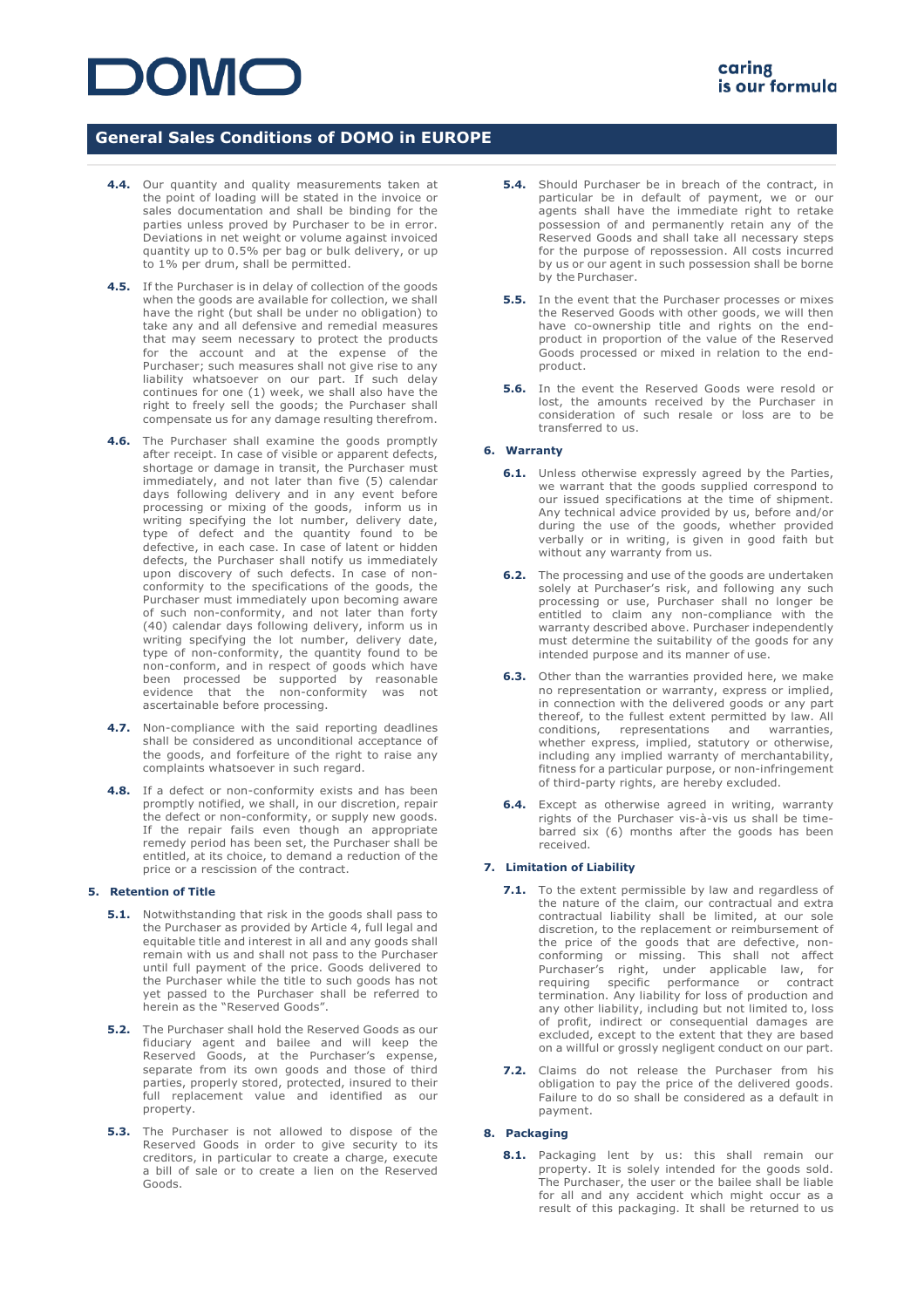# **DOMC**

## **General Sales Conditions of DOMO in EUROPE**

- **4.4.** Our quantity and quality measurements taken at the point of loading will be stated in the invoice or sales documentation and shall be binding for the parties unless proved by Purchaser to be in error. Deviations in net weight or volume against invoiced quantity up to 0.5% per bag or bulk delivery, or up to 1% per drum, shall be permitted.
- **4.5.** If the Purchaser is in delay of collection of the goods when the goods are available for collection, we shall have the right (but shall be under no obligation) to take any and all defensive and remedial measures that may seem necessary to protect the products for the account and at the expense of the Purchaser; such measures shall not give rise to any liability whatsoever on our part. If such delay continues for one (1) week, we shall also have the right to freely sell the goods; the Purchaser shall compensate us for any damage resulting therefrom.
- **4.6.** The Purchaser shall examine the goods promptly after receipt. In case of visible or apparent defects, shortage or damage in transit, the Purchaser must immediately, and not later than five (5) calendar days following delivery and in any event before processing or mixing of the goods, inform us in writing specifying the lot number, delivery date, type of defect and the quantity found to be defective, in each case. In case of latent or hidden defects, the Purchaser shall notify us immediately upon discovery of such defects. In case of nonconformity to the specifications of the goods, the Purchaser must immediately upon becoming aware of such non-conformity, and not later than forty (40) calendar days following delivery, inform us in writing specifying the lot number, delivery date, type of non-conformity, the quantity found to be non-conform, and in respect of goods which have been processed be supported by reasonable evidence that the non-conformity was not ascertainable before processing.
- **4.7.** Non-compliance with the said reporting deadlines shall be considered as unconditional acceptance of the goods, and forfeiture of the right to raise any complaints whatsoever in such regard.
- **4.8.** If a defect or non-conformity exists and has been promptly notified, we shall, in our discretion, repair the defect or non-conformity, or supply new goods. If the repair fails even though an appropriate remedy period has been set, the Purchaser shall be entitled, at its choice, to demand a reduction of the price or a rescission of the contract.

### **5. Retention of Title**

- **5.1.** Notwithstanding that risk in the goods shall pass to the Purchaser as provided by Article 4, full legal and equitable title and interest in all and any goods shall remain with us and shall not pass to the Purchaser until full payment of the price. Goods delivered to the Purchaser while the title to such goods has not yet passed to the Purchaser shall be referred to herein as the "Reserved Goods".
- **5.2.** The Purchaser shall hold the Reserved Goods as our fiduciary agent and bailee and will keep the Reserved Goods, at the Purchaser's expense, separate from its own goods and those of third parties, properly stored, protected, insured to their full replacement value and identified as our property.
- **5.3.** The Purchaser is not allowed to dispose of the Reserved Goods in order to give security to its creditors, in particular to create a charge, execute a bill of sale or to create a lien on the Reserved Goods.
- **5.4.** Should Purchaser be in breach of the contract, in particular be in default of payment, we or our agents shall have the immediate right to retake possession of and permanently retain any of the Reserved Goods and shall take all necessary steps for the purpose of repossession. All costs incurred by us or our agent in such possession shall be borne by the Purchaser.
- **5.5.** In the event that the Purchaser processes or mixes the Reserved Goods with other goods, we will then have co-ownership title and rights on the endproduct in proportion of the value of the Reserved Goods processed or mixed in relation to the endproduct.
- **5.6.** In the event the Reserved Goods were resold or lost, the amounts received by the Purchaser in consideration of such resale or loss are to be transferred to us.

### **6. Warranty**

- **6.1.** Unless otherwise expressly agreed by the Parties, we warrant that the goods supplied correspond to our issued specifications at the time of shipment. Any technical advice provided by us, before and/or during the use of the goods, whether provided verbally or in writing, is given in good faith but without any warranty from us.
- **6.2.** The processing and use of the goods are undertaken solely at Purchaser's risk, and following any such processing or use, Purchaser shall no longer be entitled to claim any non-compliance with the warranty described above. Purchaser independently must determine the suitability of the goods for any intended purpose and its manner of use.
- **6.3.** Other than the warranties provided here, we make no representation or warranty, express or implied, in connection with the delivered goods or any part thereof, to the fullest extent permitted by law. All conditions, representations and warranties, whether express, implied, statutory or otherwise, including any implied warranty of merchantability, fitness for a particular purpose, or non-infringement of third-party rights, are hereby excluded.
- **6.4.** Except as otherwise agreed in writing, warranty rights of the Purchaser vis-à-vis us shall be timebarred six (6) months after the goods has been received.

### **7. Limitation of Liability**

- **7.1.** To the extent permissible by law and regardless of the nature of the claim, our contractual and extra contractual liability shall be limited, at our sole discretion, to the replacement or reimbursement of the price of the goods that are defective, nonconforming or missing. This shall not affect Purchaser's right, under applicable law, for requiring specific performance or contract termination. Any liability for loss of production and any other liability, including but not limited to, loss of profit, indirect or consequential damages are excluded, except to the extent that they are based on a willful or grossly negligent conduct on our part.
- **7.2.** Claims do not release the Purchaser from his obligation to pay the price of the delivered goods. Failure to do so shall be considered as a default in payment.

## **8. Packaging**

**8.1.** Packaging lent by us: this shall remain our property. It is solely intended for the goods sold. The Purchaser, the user or the bailee shall be liable for all and any accident which might occur as a result of this packaging. It shall be returned to us